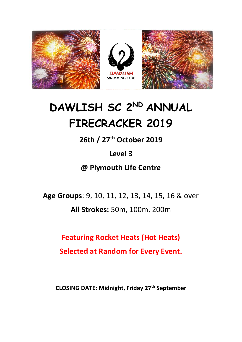

# DAWLISH SC 2<sup>ND</sup> ANNUAL **FIRECRACKER 2019**

**26th / 27th October 2019**

# **Level 3**

## **@ Plymouth Life Centre**

**Age Groups**: 9, 10, 11, 12, 13, 14, 15, 16 & over **All Strokes:** 50m, 100m, 200m

> **Featuring Rocket Heats (Hot Heats) Selected at Random for Every Event.**

**CLOSING DATE: Midnight, Friday 27th September**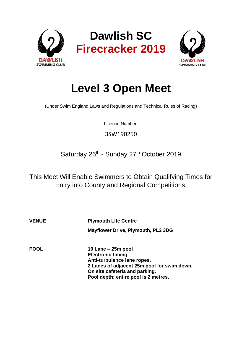



# **Level 3 Open Meet**

(Under Swim England Laws and Regulations and Technical Rules of Racing)

Licence Number:

3SW190250

Saturday 26<sup>th</sup> - Sunday 27<sup>th</sup> October 2019

This Meet Will Enable Swimmers to Obtain Qualifying Times for Entry into County and Regional Competitions.

**VENUE Plymouth Life Centre Mayflower Drive, Plymouth, PL2 3DG**

**POOL 10 Lane – 25m pool Electronic timing Anti-turbulence lane ropes. 2 Lanes of adjacent 25m pool for swim down. On site cafeteria and parking. Pool depth: entire pool is 2 metres.**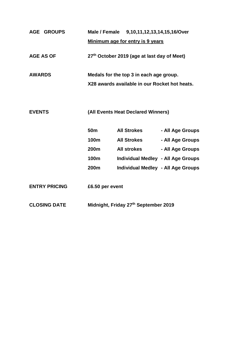| <b>AGE GROUPS</b>    |                                                                                          | Male / Female 9,10,11,12,13,14,15,16/Over<br>Minimum age for entry is 9 years                                                                            |                                                          |  |
|----------------------|------------------------------------------------------------------------------------------|----------------------------------------------------------------------------------------------------------------------------------------------------------|----------------------------------------------------------|--|
| <b>AGE AS OF</b>     | 27 <sup>th</sup> October 2019 (age at last day of Meet)                                  |                                                                                                                                                          |                                                          |  |
| <b>AWARDS</b>        | Medals for the top 3 in each age group.<br>X28 awards available in our Rocket hot heats. |                                                                                                                                                          |                                                          |  |
| <b>EVENTS</b>        |                                                                                          | (All Events Heat Declared Winners)                                                                                                                       |                                                          |  |
|                      | 50m<br>100m<br>200m<br><b>100m</b><br>200 <sub>m</sub>                                   | <b>All Strokes</b><br><b>All Strokes</b><br><b>All strokes</b><br><b>Individual Medley - All Age Groups</b><br><b>Individual Medley - All Age Groups</b> | - All Age Groups<br>- All Age Groups<br>- All Age Groups |  |
| <b>ENTRY PRICING</b> | £6.50 per event                                                                          |                                                                                                                                                          |                                                          |  |
| <b>CLOSING DATE</b>  |                                                                                          | Midnight, Friday 27th September 2019                                                                                                                     |                                                          |  |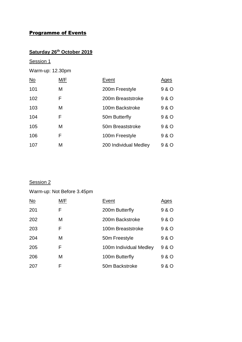### Programme of Events

## **Saturday 26th October 2019**

Session 1

Warm-up: 12.30pm

| $\underline{\mathsf{No}}$ | M/F | Event                 | <b>Ages</b> |
|---------------------------|-----|-----------------------|-------------|
| 101                       | Μ   | 200m Freestyle        | 9 & O       |
| 102                       | F   | 200m Breaststroke     | 9 & O       |
| 103                       | Μ   | 100m Backstroke       | 9 & O       |
| 104                       | F   | 50m Butterfly         | 9 & O       |
| 105                       | Μ   | 50m Breaststroke      | 9 & O       |
| 106                       | F   | 100m Freestyle        | 9 & O       |
| 107                       | Μ   | 200 Individual Medley | 9 & O       |

### Session 2

Warm-up: Not Before 3.45pm

| $\underline{\mathsf{No}}$ | M/F | Event                  | <b>Ages</b> |
|---------------------------|-----|------------------------|-------------|
| 201                       | F   | 200m Butterfly         | 9 & O       |
| 202                       | Μ   | 200m Backstroke        | 9 & O       |
| 203                       | F   | 100m Breaststroke      | 9 & O       |
| 204                       | Μ   | 50m Freestyle          | 9 & O       |
| 205                       | F.  | 100m Individual Medley | 9 & O       |
| 206                       | Μ   | 100m Butterfly         | 9 & O       |
| 207                       | F   | 50m Backstroke         | 9 & O       |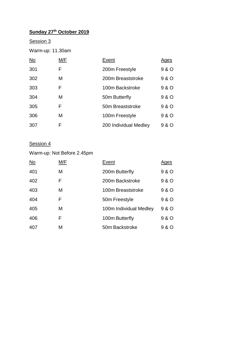## **Sunday 27th October 2019**

### Session 3

Warm-up: 11.30am

| $\underline{\mathsf{No}}$ | M/F | Event                 | <b>Ages</b> |
|---------------------------|-----|-----------------------|-------------|
| 301                       | F   | 200m Freestyle        | 9 & O       |
| 302                       | М   | 200m Breaststroke     | 9 & O       |
| 303                       | F   | 100m Backstroke       | 9 & O       |
| 304                       | Μ   | 50m Butterfly         | 9 & O       |
| 305                       | F   | 50m Breaststroke      | 9 & O       |
| 306                       | Μ   | 100m Freestyle        | 9 & O       |
| 307                       | F   | 200 Individual Medley | 9 & O       |

### Session 4

## Warm-up: Not Before 2.45pm

| $\underline{\mathsf{No}}$ | M/F | Event                     | <u>Ages</u> |
|---------------------------|-----|---------------------------|-------------|
| 401                       | M   | 200m Butterfly            | 9 & O       |
| 402                       | F   | 200m Backstroke           | 9 & O       |
| 403                       | M   | 100m Breaststroke         | 9 & O       |
| 404                       | F   | 50 <sub>m</sub> Freestyle | 9 & O       |
| 405                       | M   | 100m Individual Medley    | 9 & O       |
| 406                       | F   | 100m Butterfly            | 9 & O       |
| 407                       | М   | 50m Backstroke            | 9 & O       |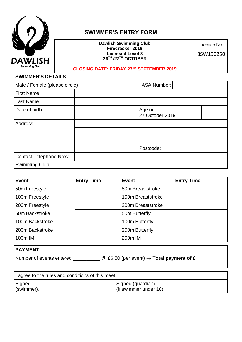

## **SWIMMER'S ENTRY FORM**

**Dawlish Swimming Club Firecracker 2019 Licensed Level 3 26TH /27TH OCTOBER**

License No: 3SW190250

**CLOSING DATE: FRIDAY 27 TH SEPTEMBER 2019**

#### **SWIMMER'S DETAILS**

| Male / Female (please circle)  | <b>ASA Number:</b>        |
|--------------------------------|---------------------------|
| <b>First Name</b>              |                           |
| <b>Last Name</b>               |                           |
| Date of birth                  | Age on<br>27 October 2019 |
| <b>Address</b>                 |                           |
|                                |                           |
|                                |                           |
|                                | Postcode:                 |
| <b>Contact Telephone No's:</b> |                           |
| <b>Swimming Club</b>           |                           |

| <b>Event</b>    | <b>Entry Time</b> | Event             | <b>Entry Time</b> |
|-----------------|-------------------|-------------------|-------------------|
| 50m Freestyle   |                   | 50m Breaststroke  |                   |
| 100m Freestyle  |                   | 100m Breaststroke |                   |
| 200m Freestyle  |                   | 200m Breaststroke |                   |
| 50m Backstroke  |                   | 50m Butterfly     |                   |
| 100m Backstroke |                   | 100m Butterfly    |                   |
| 200m Backstroke |                   | 200m Butterfly    |                   |
| 100m IM         |                   | 200m IM           |                   |

#### **PAYMENT**

Number of events entered \_\_\_\_\_\_\_\_\_\_\_\_ @ £6.50 (per event)  $\rightarrow$  **Total payment of £\_\_** 

| I agree to the rules and conditions of this meet. |  |                                               |  |
|---------------------------------------------------|--|-----------------------------------------------|--|
| Signed<br>(swimmer).                              |  | Signed (guardian)<br>(if swimmer under $18$ ) |  |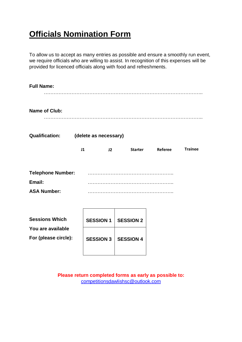# **Officials Nomination Form**

To allow us to accept as many entries as possible and ensure a smoothly run event, we require officials who are willing to assist. In recognition of this expenses will be provided for licenced officials along with food and refreshments.

| <b>Full Name:</b>        |    |                       |                  |         |                |
|--------------------------|----|-----------------------|------------------|---------|----------------|
| <b>Name of Club:</b>     |    |                       |                  |         |                |
| <b>Qualification:</b>    |    | (delete as necessary) |                  |         |                |
|                          | J1 | J2                    | <b>Starter</b>   | Referee | <b>Trainee</b> |
| <b>Telephone Number:</b> |    |                       |                  |         |                |
| Email:                   |    |                       |                  |         |                |
| <b>ASA Number:</b>       |    |                       |                  |         |                |
|                          |    |                       |                  |         |                |
|                          |    |                       |                  |         |                |
| <b>Sessions Which</b>    |    | <b>SESSION 1</b>      | <b>SESSION 2</b> |         |                |

**You are available For (please circle):** 

| <b>SESSION 1</b> | <b>SESSION 2</b> |
|------------------|------------------|
| <b>SESSION 3</b> | <b>SESSION 4</b> |

**Please return completed forms as early as possible to:**  [competitionsdawlishsc@outlook.com](mailto:competitionsdawlishsc@outlook.com)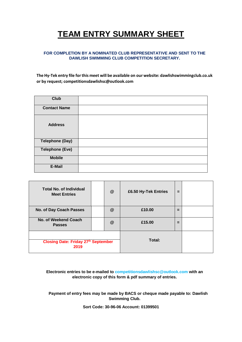# **TEAM ENTRY SUMMARY SHEET**

#### **FOR COMPLETION BY A NOMINATED CLUB REPRESENTATIVE AND SENT TO THE DAWLISH SWIMMING CLUB COMPETITION SECRETARY.**

**The Hy-Tek entry file for this meet will be available on our website: dawlishswimmingclub.co.uk or by request; competitionsdawlishsc@outlook.com**

| <b>Club</b>            |  |
|------------------------|--|
| <b>Contact Name</b>    |  |
| <b>Address</b>         |  |
| Telephone (Day)        |  |
| <b>Telephone (Eve)</b> |  |
| <b>Mobile</b>          |  |
| E-Mail                 |  |

| <b>Total No. of Individual</b><br><b>Meet Entries</b> |  | $^\circledR$ | £6.50 Hy-Tek Entries | $=$ |  |
|-------------------------------------------------------|--|--------------|----------------------|-----|--|
| No. of Day Coach Passes                               |  | @            | £10.00               | =   |  |
| No. of Weekend Coach<br><b>Passes</b>                 |  | @            | £15.00               | $=$ |  |
| <b>Closing Date: Friday 27th September</b><br>2019    |  | Total:       |                      |     |  |

**Electronic entries to be e-mailed to competitionsdawlishsc@outlook.com with an electronic copy of this form & pdf summary of entries.**

**Payment of entry fees may be made by BACS or cheque made payable to: Dawlish Swimming Club.** 

**Sort Code: 30-96-06 Account: 01399501**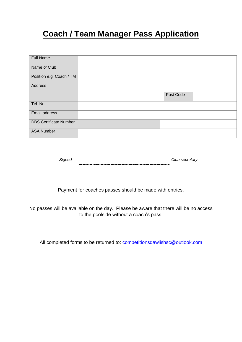# **Coach / Team Manager Pass Application**

| <b>Full Name</b>              |  |           |  |
|-------------------------------|--|-----------|--|
| Name of Club                  |  |           |  |
| Position e.g. Coach / TM      |  |           |  |
| Address                       |  |           |  |
|                               |  | Post Code |  |
| Tel. No.                      |  |           |  |
| Email address                 |  |           |  |
| <b>DBS Certificate Number</b> |  |           |  |
| <b>ASA Number</b>             |  |           |  |

| Signed | Club secretary |
|--------|----------------|
|--------|----------------|

Payment for coaches passes should be made with entries.

No passes will be available on the day. Please be aware that there will be no access to the poolside without a coach's pass.

All completed forms to be returned to: [competitionsdawlishsc@outlook.com](mailto:competitionsdawlishsc@outlook.com)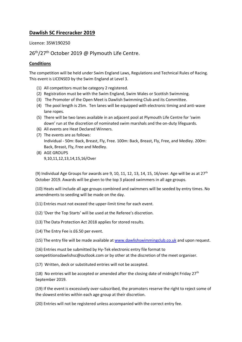#### **Dawlish SC Firecracker 2019**

Licence: 3SW190250

#### 26<sup>th</sup>/27<sup>th</sup> October 2019 @ Plymouth Life Centre.

#### **Conditions**

The competition will be held under Swim England Laws, Regulations and Technical Rules of Racing. This event is LICENSED by the Swim England at Level 3.

- (1) All competitors must be category 2 registered.
- (2) Registration must be with the Swim England, Swim Wales or Scottish Swimming.
- (3) The Promoter of the Open Meet is Dawlish Swimming Club and its Committee.
- (4) The pool length is 25m. Ten lanes will be equipped with electronic timing and anti-wave lane ropes.
- (5) There will be two lanes available in an adjacent pool at Plymouth Life Centre for 'swim down' run at the discretion of nominated swim marshals and the on-duty lifeguards.
- (6) All events are Heat Declared Winners.
- (7) The events are as follows: Individual - 50m: Back, Breast, Fly, Free. 100m: Back, Breast, Fly, Free, and Medley. 200m: Back, Breast, Fly, Free and Medley.
- (8) AGE GROUPS 9,10,11,12,13,14,15,16/Over

(9) Individual Age Groups for awards are 9, 10, 11, 12, 13, 14, 15, 16/over. Age will be as at  $27<sup>th</sup>$ October 2019. Awards will be given to the top 3 placed swimmers in all age groups.

(10) Heats will include all age groups combined and swimmers will be seeded by entry times. No amendments to seeding will be made on the day.

(11) Entries must not exceed the upper-limit time for each event.

(12) 'Over the Top Starts' will be used at the Referee's discretion.

(13) The Data Protection Act 2018 applies for stored results.

(14) The Entry Fee is £6.50 per event.

(15) The entry file will be made available at [www.dawlishswimmingclub.co.uk](http://www.dawlishswimmingclub.co.uk/) and upon request.

(16) Entries must be submitted by Hy-Tek electronic entry file format to competitionsdawlishsc@outlook.com or by other at the discretion of the meet organiser.

(17) Written, deck or substituted entries will not be accepted.

(18) No entries will be accepted or amended after the closing date of midnight Friday  $27<sup>th</sup>$ September 2019.

(19) If the event is excessively over-subscribed, the promoters reserve the right to reject some of the slowest entries within each age group at their discretion.

(20) Entries will not be registered unless accompanied with the correct entry fee.